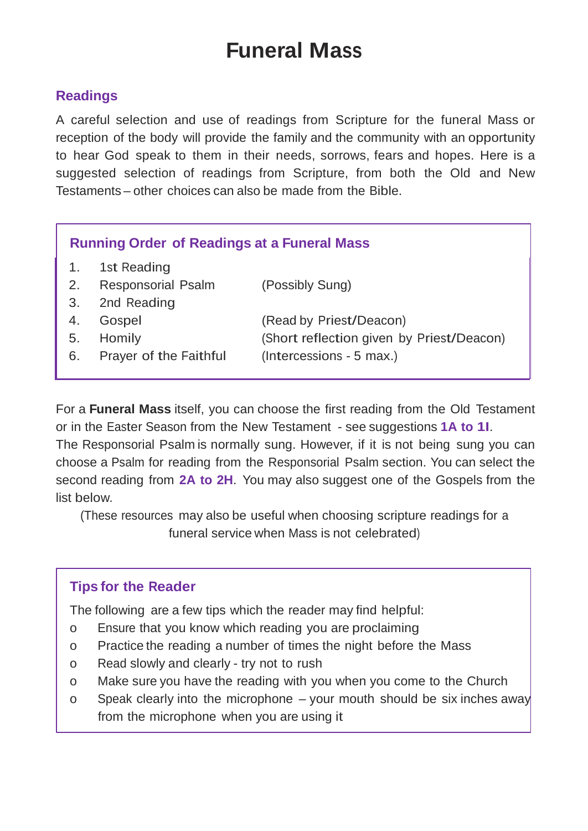# **Funeral Mass**

# **Readings**

A careful selection and use of readings from Scripture for the funeral Mass or reception of the body will provide the family and the community with an opportunity to hear God speak to them in their needs, sorrows, fears and hopes. Here is a suggested selection of readings from Scripture, from both the Old and New Testaments – other choices can also be made from the Bible.

| <b>Running Order of Readings at a Funeral Mass</b> |                           |                                           |  |  |
|----------------------------------------------------|---------------------------|-------------------------------------------|--|--|
| $1_{1}$                                            | 1st Reading               |                                           |  |  |
| 2.                                                 | <b>Responsorial Psalm</b> | (Possibly Sung)                           |  |  |
| 3.                                                 | 2nd Reading               |                                           |  |  |
| 4.                                                 | Gospel                    | (Read by Priest/Deacon)                   |  |  |
| 5.                                                 | Homily                    | (Short reflection given by Priest/Deacon) |  |  |
| 6.                                                 | Prayer of the Faithful    | (Intercessions - 5 max.)                  |  |  |

For a **Funeral Mass** itself, you can choose the first reading from the Old Testament or in the Easter Season from the New Testament - see suggestions **1A to 1I**.

The Responsorial Psalm is normally sung. However, if it is not being sung you can choose a Psalm for reading from the Responsorial Psalm section. You can select the second reading from **2A to 2H**. You may also suggest one of the Gospels from the list below.

(These resources may also be useful when choosing scripture readings for a funeral service when Mass is not celebrated)

# **Tips for the Reader**

The following are a few tips which the reader may find helpful:

- o Ensure that you know which reading you are proclaiming
- o Practice the reading a number of times the night before the Mass
- o Read slowly and clearly try not to rush
- o Make sure you have the reading with you when you come to the Church
- o Speak clearly into the microphone your mouth should be six inches away from the microphone when you are using it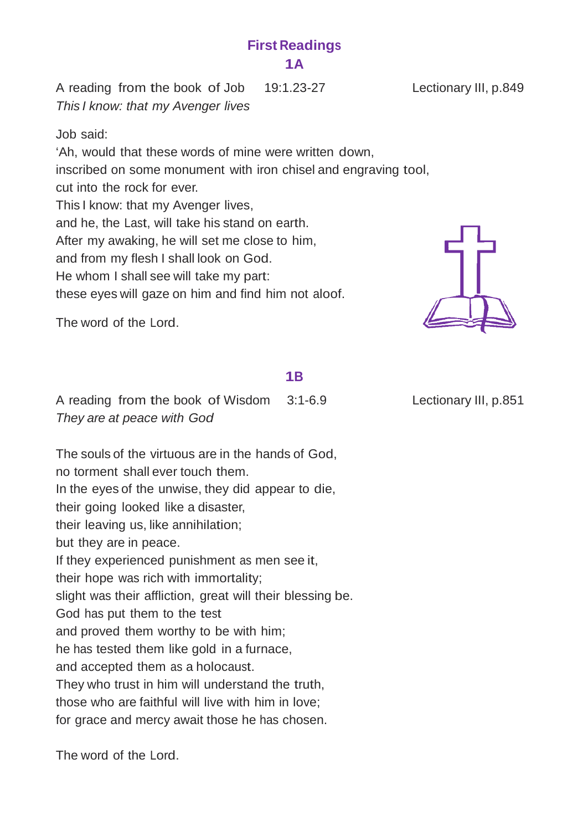# **First Readings 1A**

A reading from the book of Job 19:1.23-27 Lectionary III, p.849 *This I know: that my Avenger lives*

### Job said:

'Ah, would that these words of mine were written down, inscribed on some monument with iron chisel and engraving tool, cut into the rock for ever. This I know: that my Avenger lives, and he, the Last, will take his stand on earth. After my awaking, he will set me close to him, and from my flesh I shall look on God. He whom I shall see will take my part: these eyes will gaze on him and find him not aloof.

The word of the Lord.

### **1B**

A reading from the book of Wisdom 3:1-6.9 Lectionary III, p.851 *They are at peace with God*

The souls of the virtuous are in the hands of God, no torment shall ever touch them. In the eyes of the unwise, they did appear to die, their going looked like a disaster, their leaving us, like annihilation; but they are in peace. If they experienced punishment as men see it, their hope was rich with immortality; slight was their affliction, great will their blessing be. God has put them to the test and proved them worthy to be with him; he has tested them like gold in a furnace, and accepted them as a holocaust. They who trust in him will understand the truth, those who are faithful will live with him in love; for grace and mercy await those he has chosen.

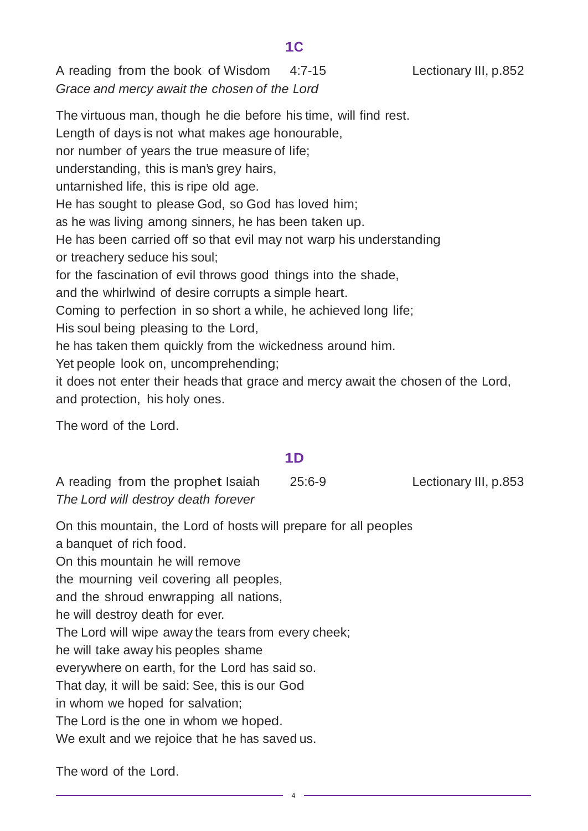A reading from the book of Wisdom 4:7-15 Lectionary III, p.852

*Grace and mercy await the chosen of the Lord*

The virtuous man, though he die before his time, will find rest. Length of days is not what makes age honourable, nor number of years the true measure of life; understanding, this is man's grey hairs, untarnished life, this is ripe old age. He has sought to please God, so God has loved him; as he was living among sinners, he has been taken up. He has been carried off so that evil may not warp his understanding or treachery seduce his soul; for the fascination of evil throws good things into the shade, and the whirlwind of desire corrupts a simple heart. Coming to perfection in so short a while, he achieved long life; His soul being pleasing to the Lord, he has taken them quickly from the wickedness around him. Yet people look on, uncomprehending; it does not enter their heads that grace and mercy await the chosen of the Lord, and protection, his holy ones.

The word of the Lord.

# **1D**

| A reading from the prophet Isaiah   | $25:6-9$ | Lectionary III, p.853 |
|-------------------------------------|----------|-----------------------|
| The Lord will destroy death forever |          |                       |

4

On this mountain, the Lord of hosts will prepare for all peoples a banquet of rich food. On this mountain he will remove the mourning veil covering all peoples, and the shroud enwrapping all nations, he will destroy death for ever. The Lord will wipe away the tears from every cheek; he will take away his peoples shame everywhere on earth, for the Lord has said so. That day, it will be said: See, this is our God in whom we hoped for salvation; The Lord is the one in whom we hoped. We exult and we rejoice that he has saved us.

The word of the Lord.

#### **1C**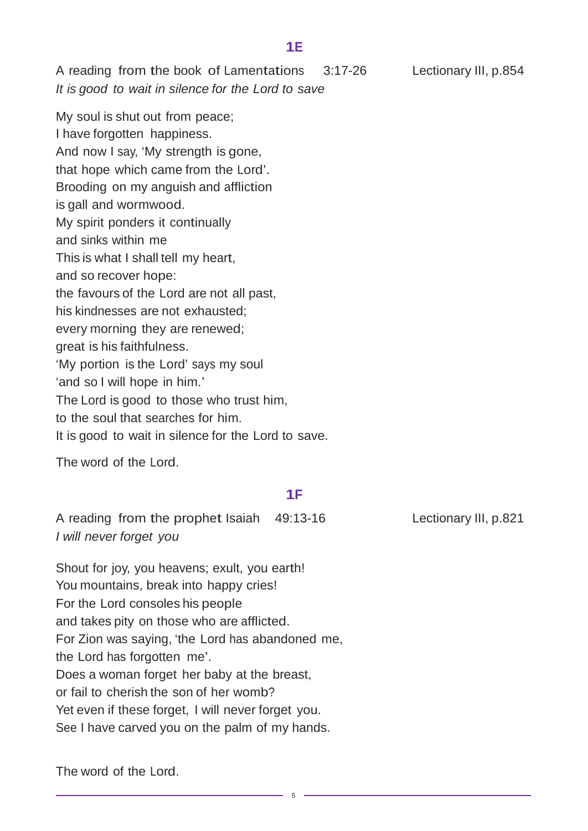#### **1E**

A reading from the book of Lamentations 3:17-26 Lectionary III, p.854 *It is good to wait in silence for the Lord to save*

My soul is shut out from peace; I have forgotten happiness. And now I say, 'My strength is gone, that hope which came from the Lord'. Brooding on my anguish and affliction is gall and wormwood. My spirit ponders it continually and sinks within me This is what I shall tell my heart, and so recover hope: the favours of the Lord are not all past, his kindnesses are not exhausted; every morning they are renewed; great is his faithfulness. 'My portion is the Lord' says my soul 'and so I will hope in him.' The Lord is good to those who trust him, to the soul that searches for him. It is good to wait in silence for the Lord to save.

The word of the Lord.

# **1F**

A reading from the prophet Isaiah 49:13-16 Lectionary III, p.821 *I will never forget you*

Shout for joy, you heavens; exult, you earth! You mountains, break into happy cries! For the Lord consoles his people and takes pity on those who are afflicted. For Zion was saying, 'the Lord has abandoned me, the Lord has forgotten me'. Does a woman forget her baby at the breast, or fail to cherish the son of her womb? Yet even if these forget, I will never forget you. See I have carved you on the palm of my hands.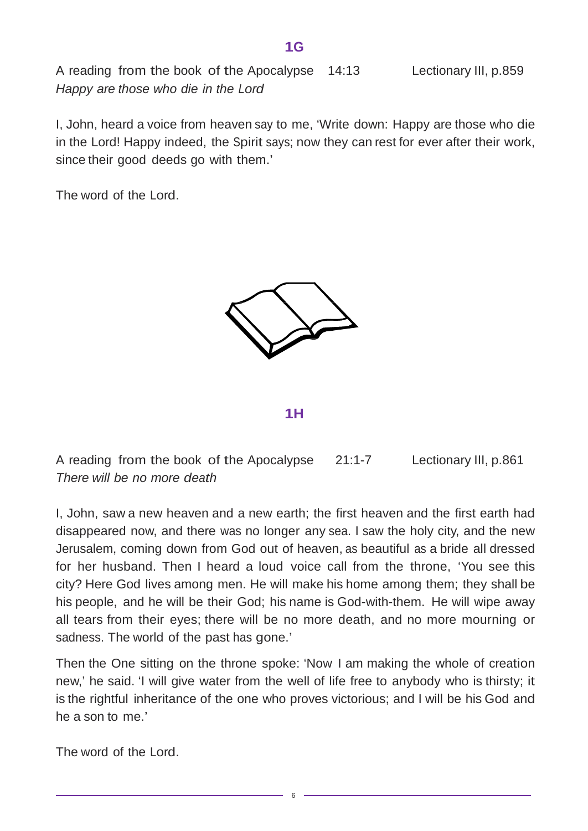A reading from the book of the Apocalypse 14:13 Lectionary III, p.859 *Happy are those who die in the Lord*

I, John, heard a voice from heaven say to me, 'Write down: Happy are those who die in the Lord! Happy indeed, the Spirit says; now they can rest for ever after their work, since their good deeds go with them.'

The word of the Lord.



**1H**

A reading from the book of the Apocalypse 21:1-7 Lectionary III, p.861 *There will be no more death*

I, John, saw a new heaven and a new earth; the first heaven and the first earth had disappeared now, and there was no longer any sea. I saw the holy city, and the new Jerusalem, coming down from God out of heaven, as beautiful as a bride all dressed for her husband. Then I heard a loud voice call from the throne, 'You see this city? Here God lives among men. He will make his home among them; they shall be his people, and he will be their God; his name is God-with-them. He will wipe away all tears from their eyes; there will be no more death, and no more mourning or sadness. The world of the past has gone.'

Then the One sitting on the throne spoke: 'Now I am making the whole of creation new,' he said. 'I will give water from the well of life free to anybody who is thirsty; it is the rightful inheritance of the one who proves victorious; and I will be his God and he a son to me.'

6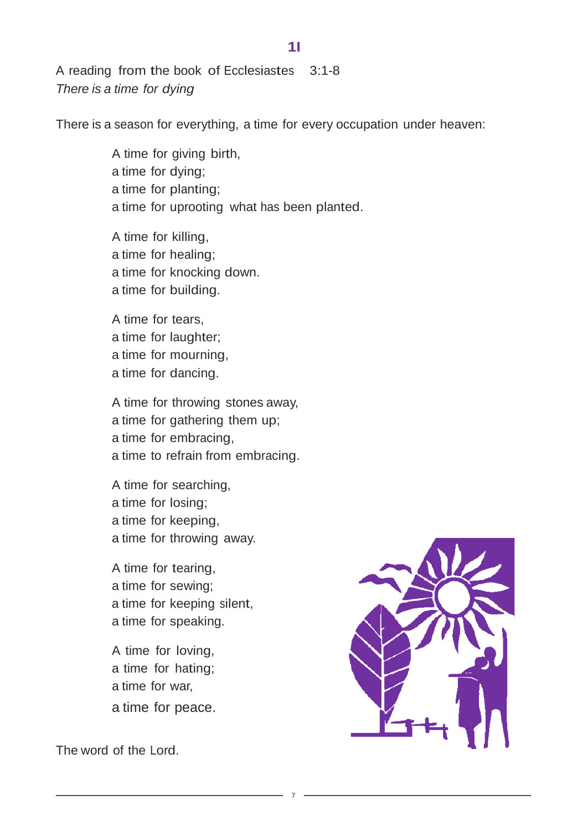A reading from the book of Ecclesiastes 3:1-8 *There is a time for dying*

There is a season for everything, a time for every occupation under heaven:

A time for giving birth, a time for dying; a time for planting; a time for uprooting what has been planted.

A time for killing, a time for healing; a time for knocking down. a time for building.

A time for tears, a time for laughter; a time for mourning, a time for dancing.

A time for throwing stones away, a time for gathering them up; a time for embracing, a time to refrain from embracing.

A time for searching, a time for losing; a time for keeping, a time for throwing away.

A time for tearing, a time for sewing; a time for keeping silent, a time for speaking.

A time for loving, a time for hating; a time for war, a time for peace.

7

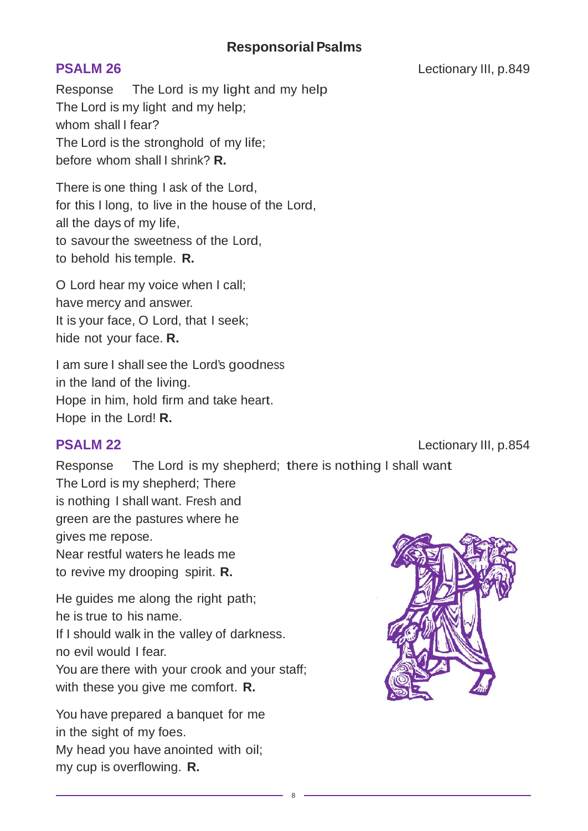# **Responsorial Psalms**

Response The Lord is my light and my help The Lord is my light and my help; whom shall I fear? The Lord is the stronghold of my life; before whom shall I shrink? **R.**

There is one thing I ask of the Lord, for this I long, to live in the house of the Lord, all the days of my life, to savour the sweetness of the Lord, to behold his temple. **R.**

O Lord hear my voice when I call; have mercy and answer. It is your face, O Lord, that I seek; hide not your face. **R.**

I am sure I shall see the Lord's goodness in the land of the living. Hope in him, hold firm and take heart. Hope in the Lord! **R.**

**PSALM 22** Lectionary III, p.854

Response The Lord is my shepherd; there is nothing I shall want The Lord is my shepherd; There is nothing I shall want. Fresh and green are the pastures where he gives me repose. Near restful waters he leads me to revive my drooping spirit. **R.** He guides me along the right path; he is true to his name. If I should walk in the valley of darkness.

no evil would I fear.

You are there with your crook and your staff; with these you give me comfort. **R.**

You have prepared a banquet for me in the sight of my foes. My head you have anointed with oil; my cup is overflowing. **R.**

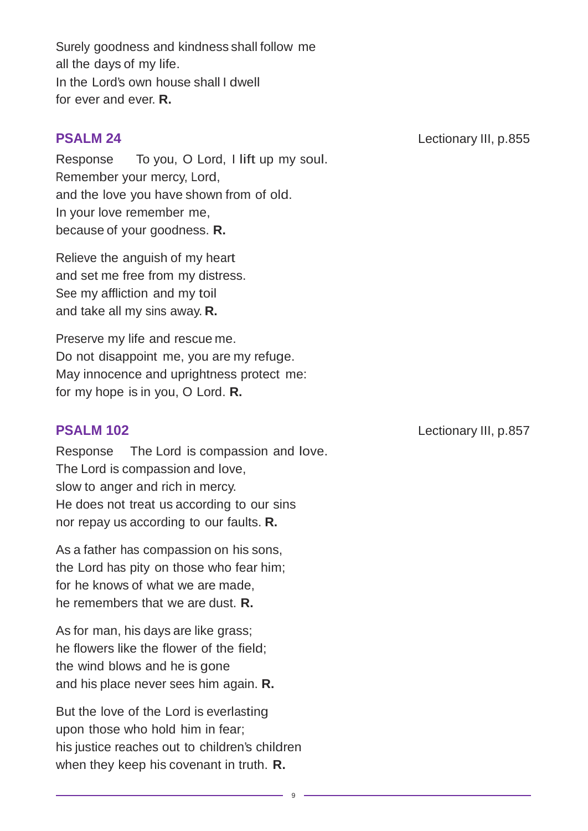Surely goodness and kindness shall follow me all the days of my life. In the Lord's own house shall I dwell for ever and ever. **R.**

Response To you, O Lord, I lift up my soul. Remember your mercy, Lord, and the love you have shown from of old. In your love remember me, because of your goodness. **R.**

Relieve the anguish of my heart and set me free from my distress. See my affliction and my toil and take all my sins away. **R.**

Preserve my life and rescue me. Do not disappoint me, you are my refuge. May innocence and uprightness protect me: for my hope is in you, O Lord. **R.**

Response The Lord is compassion and love. The Lord is compassion and love, slow to anger and rich in mercy. He does not treat us according to our sins nor repay us according to our faults. **R.**

As a father has compassion on his sons, the Lord has pity on those who fear him; for he knows of what we are made, he remembers that we are dust. **R.**

As for man, his days are like grass; he flowers like the flower of the field; the wind blows and he is gone and his place never sees him again. **R.**

But the love of the Lord is everlasting upon those who hold him in fear; his justice reaches out to children's children when they keep his covenant in truth. **R.**

**PSALM 24** Lectionary III, p.855

**PSALM 102** Lectionary III, p.857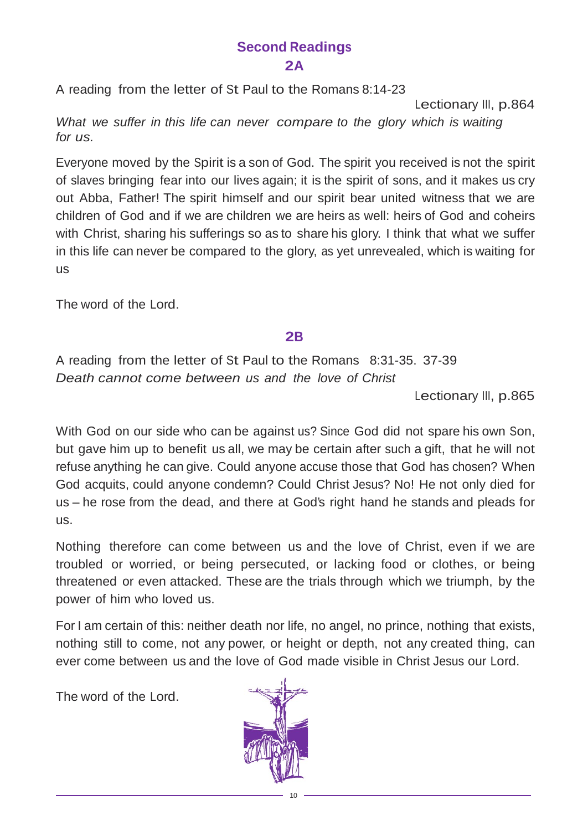# **Second Readings 2A**

A reading from the letter of St Paul to the Romans 8:14-23

Lectionary III, p.864 *What we suffer in this life can never compare to the glory which is waiting for us.*

Everyone moved by the Spirit is a son of God. The spirit you received is not the spirit of slaves bringing fear into our lives again; it is the spirit of sons, and it makes us cry out Abba, Father! The spirit himself and our spirit bear united witness that we are children of God and if we are children we are heirs as well: heirs of God and coheirs with Christ, sharing his sufferings so as to share his glory. I think that what we suffer in this life can never be compared to the glory, as yet unrevealed, which is waiting for us

The word of the Lord.

# **2B**

A reading from the letter of St Paul to the Romans 8:31-35. 37-39 *Death cannot come between us and the love of Christ* 

Lectionary III, p.865

With God on our side who can be against us? Since God did not spare his own Son, but gave him up to benefit us all, we may be certain after such a gift, that he will not refuse anything he can give. Could anyone accuse those that God has chosen? When God acquits, could anyone condemn? Could Christ Jesus? No! He not only died for us – he rose from the dead, and there at God's right hand he stands and pleads for us.

Nothing therefore can come between us and the love of Christ, even if we are troubled or worried, or being persecuted, or lacking food or clothes, or being threatened or even attacked. These are the trials through which we triumph, by the power of him who loved us.

For I am certain of this: neither death nor life, no angel, no prince, nothing that exists, nothing still to come, not any power, or height or depth, not any created thing, can ever come between us and the love of God made visible in Christ Jesus our Lord.

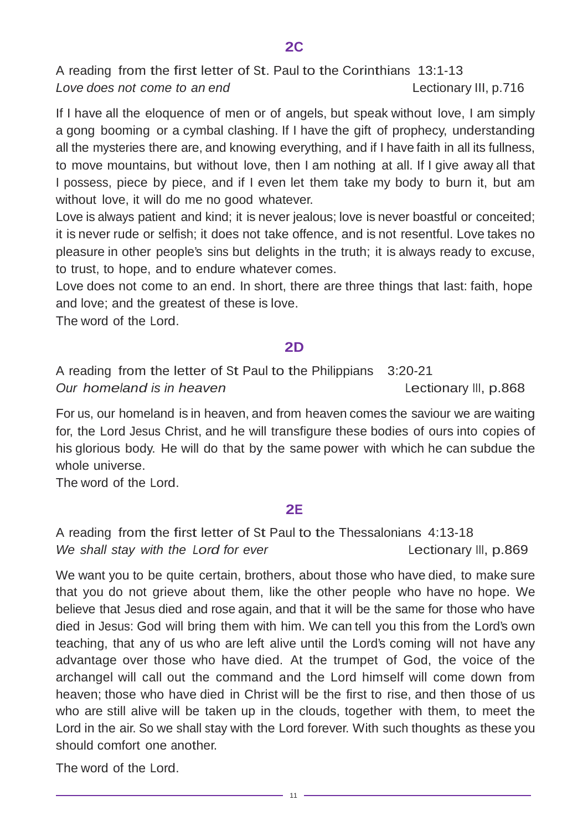#### **2C**

A reading from the first letter of St. Paul to the Corinthians 13:1-13 *Love does not come to an end* Lectionary III, p.716

If I have all the eloquence of men or of angels, but speak without love, I am simply a gong booming or a cymbal clashing. If I have the gift of prophecy, understanding all the mysteries there are, and knowing everything, and if I have faith in all its fullness, to move mountains, but without love, then I am nothing at all. If I give away all that I possess, piece by piece, and if I even let them take my body to burn it, but am without love, it will do me no good whatever.

Love is always patient and kind; it is never jealous; love is never boastful or conceited; it is never rude or selfish; it does not take offence, and is not resentful. Love takes no pleasure in other people's sins but delights in the truth; it is always ready to excuse, to trust, to hope, and to endure whatever comes.

Love does not come to an end. In short, there are three things that last: faith, hope and love; and the greatest of these is love.

The word of the Lord.

### **2D**

A reading from the letter of St Paul to the Philippians 3:20-21 *Our homeland is in heaven* Lectionary III, p.868

For us, our homeland is in heaven, and from heaven comes the saviour we are waiting for, the Lord Jesus Christ, and he will transfigure these bodies of ours into copies of his glorious body. He will do that by the same power with which he can subdue the whole universe.

The word of the Lord.

### **2E**

A reading from the first letter of St Paul to the Thessalonians 4:13-18 *We* shall stay with the Lord for ever **Example 20** Lectionary III, p.869

We want you to be quite certain, brothers, about those who have died, to make sure that you do not grieve about them, like the other people who have no hope. We believe that Jesus died and rose again, and that it will be the same for those who have died in Jesus: God will bring them with him. We can tell you this from the Lord's own teaching, that any of us who are left alive until the Lord's coming will not have any advantage over those who have died. At the trumpet of God, the voice of the archangel will call out the command and the Lord himself will come down from heaven; those who have died in Christ will be the first to rise, and then those of us who are still alive will be taken up in the clouds, together with them, to meet the Lord in the air. So we shall stay with the Lord forever. With such thoughts as these you should comfort one another.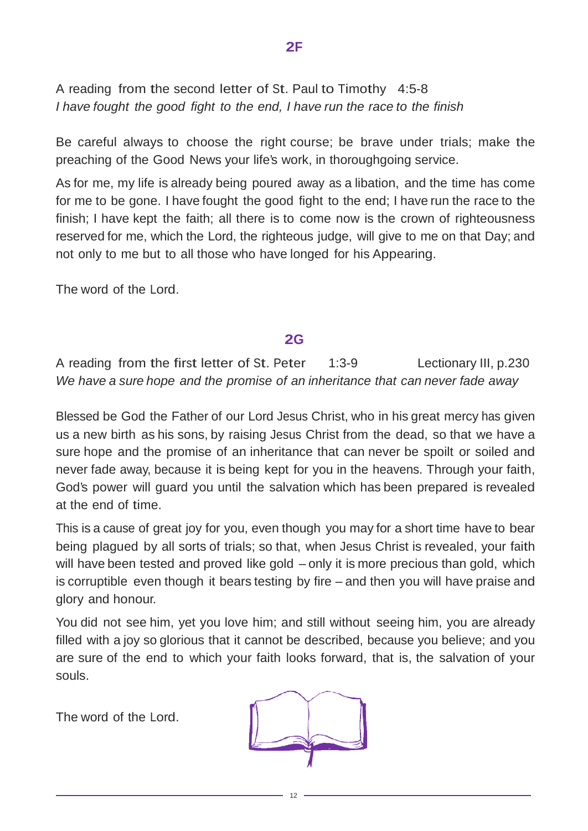A reading from the second letter of St. Paul to Timothy 4:5-8 *I have fought the good fight to the end, I have run the race to the finish*

Be careful always to choose the right course; be brave under trials; make the preaching of the Good News your life's work, in thoroughgoing service.

As for me, my life is already being poured away as a libation, and the time has come for me to be gone. I have fought the good fight to the end; I have run the race to the finish; I have kept the faith; all there is to come now is the crown of righteousness reserved for me, which the Lord, the righteous judge, will give to me on that Day; and not only to me but to all those who have longed for his Appearing.

The word of the Lord.

#### **2G**

A reading from the first letter of St. Peter 1:3-9 Lectionary III, p.230 *We have a sure hope and the promise of an inheritance that can never fade away*

Blessed be God the Father of our Lord Jesus Christ, who in his great mercy has given us a new birth as his sons, by raising Jesus Christ from the dead, so that we have a sure hope and the promise of an inheritance that can never be spoilt or soiled and never fade away, because it is being kept for you in the heavens. Through your faith, God's power will guard you until the salvation which has been prepared is revealed at the end of time.

This is a cause of great joy for you, even though you may for a short time have to bear being plagued by all sorts of trials; so that, when Jesus Christ is revealed, your faith will have been tested and proved like gold – only it is more precious than gold, which is corruptible even though it bears testing by fire – and then you will have praise and glory and honour.

You did not see him, yet you love him; and still without seeing him, you are already filled with a joy so glorious that it cannot be described, because you believe; and you are sure of the end to which your faith looks forward, that is, the salvation of your souls.

The word of the Lord.



12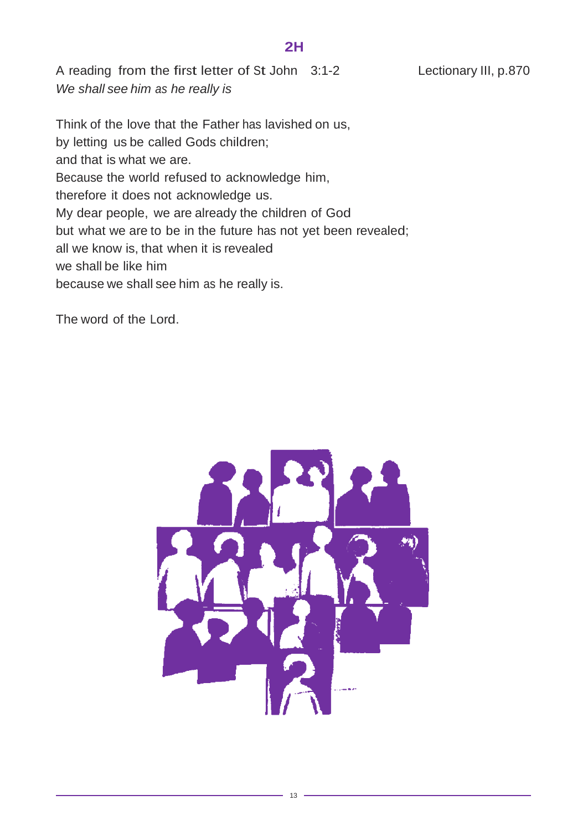### **2H**

A reading from the first letter of St John 3:1-2 Lectionary III, p.870 *We shall see him as he really is*

Think of the love that the Father has lavished on us, by letting us be called Gods children; and that is what we are. Because the world refused to acknowledge him, therefore it does not acknowledge us. My dear people, we are already the children of God but what we are to be in the future has not yet been revealed; all we know is, that when it is revealed we shall be like him because we shall see him as he really is.

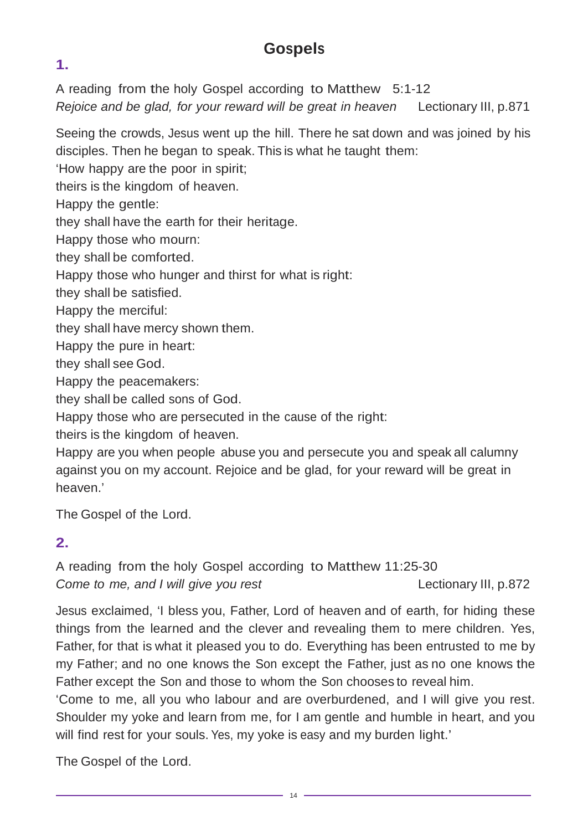# **Gospels**

# **1.**

A reading from the holy Gospel according to Matthew 5:1-12 *Rejoice and be glad, for your reward will be great in heaven* Lectionary III, p.871

Seeing the crowds, Jesus went up the hill. There he sat down and was joined by his disciples. Then he began to speak. This is what he taught them:

'How happy are the poor in spirit;

theirs is the kingdom of heaven.

Happy the gentle:

they shall have the earth for their heritage.

Happy those who mourn:

they shall be comforted.

Happy those who hunger and thirst for what is right:

they shall be satisfied.

Happy the merciful:

they shall have mercy shown them.

Happy the pure in heart:

they shall see God.

Happy the peacemakers:

they shall be called sons of God.

Happy those who are persecuted in the cause of the right:

theirs is the kingdom of heaven.

Happy are you when people abuse you and persecute you and speak all calumny against you on my account. Rejoice and be glad, for your reward will be great in heaven.'

The Gospel of the Lord.

# **2.**

A reading from the holy Gospel according to Matthew 11:25-30 *Come to me, and I will give you rest* Lectionary III, p.872

Jesus exclaimed, 'I bless you, Father, Lord of heaven and of earth, for hiding these things from the learned and the clever and revealing them to mere children. Yes, Father, for that is what it pleased you to do. Everything has been entrusted to me by my Father; and no one knows the Son except the Father, just as no one knows the Father except the Son and those to whom the Son chooses to reveal him.

'Come to me, all you who labour and are overburdened, and I will give you rest. Shoulder my yoke and learn from me, for I am gentle and humble in heart, and you will find rest for your souls. Yes, my yoke is easy and my burden light.'

The Gospel of the Lord.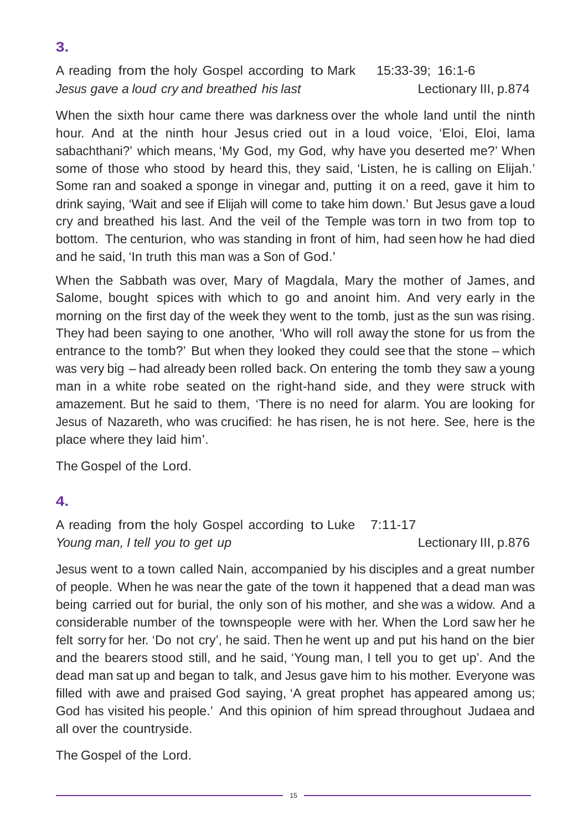A reading from the holy Gospel according to Mark 15:33-39; 16:1-6 *Jesus gave a loud cry and breathed his last* Lectionary III, p.874

When the sixth hour came there was darkness over the whole land until the ninth hour. And at the ninth hour Jesus cried out in a loud voice, 'Eloi, Eloi, lama sabachthani?' which means, 'My God, my God, why have you deserted me?' When some of those who stood by heard this, they said, 'Listen, he is calling on Elijah.' Some ran and soaked a sponge in vinegar and, putting it on a reed, gave it him to drink saying, 'Wait and see if Elijah will come to take him down.' But Jesus gave a loud cry and breathed his last. And the veil of the Temple was torn in two from top to bottom. The centurion, who was standing in front of him, had seen how he had died and he said, 'In truth this man was a Son of God.'

When the Sabbath was over, Mary of Magdala, Mary the mother of James, and Salome, bought spices with which to go and anoint him. And very early in the morning on the first day of the week they went to the tomb, just as the sun was rising. They had been saying to one another, 'Who will roll away the stone for us from the entrance to the tomb?' But when they looked they could see that the stone – which was very big – had already been rolled back. On entering the tomb they saw a young man in a white robe seated on the right-hand side, and they were struck with amazement. But he said to them, 'There is no need for alarm. You are looking for Jesus of Nazareth, who was crucified: he has risen, he is not here. See, here is the place where they laid him'.

The Gospel of the Lord.

# **4.**

A reading from the holy Gospel according to Luke 7:11-17 *Young man, I tell you to get up* Lectionary III, p.876

Jesus went to a town called Nain, accompanied by his disciples and a great number of people. When he was near the gate of the town it happened that a dead man was being carried out for burial, the only son of his mother, and she was a widow. And a considerable number of the townspeople were with her. When the Lord saw her he felt sorry for her. 'Do not cry', he said. Then he went up and put his hand on the bier and the bearers stood still, and he said, 'Young man, I tell you to get up'. And the dead man sat up and began to talk, and Jesus gave him to his mother. Everyone was filled with awe and praised God saying, 'A great prophet has appeared among us; God has visited his people.' And this opinion of him spread throughout Judaea and all over the countryside.

15

The Gospel of the Lord.

**3.**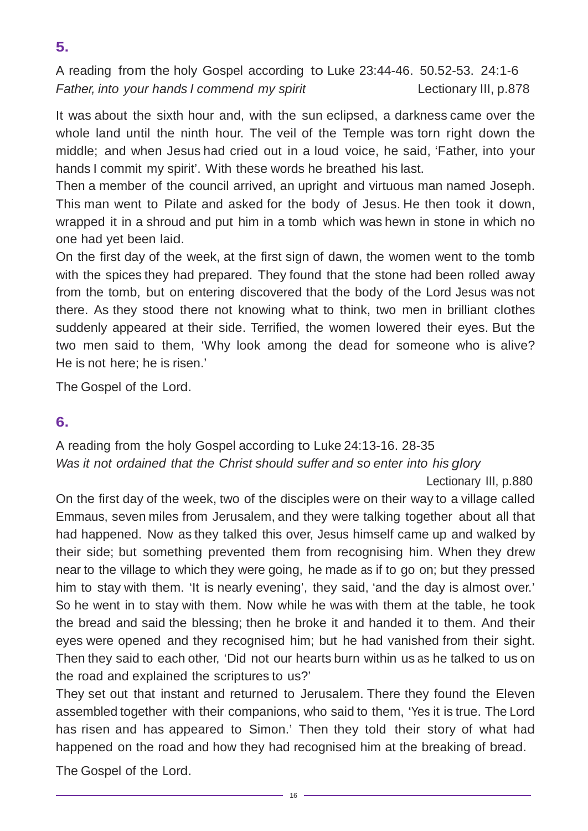A reading from the holy Gospel according to Luke 23:44-46. 50.52-53. 24:1-6 *Father, into your hands I commend my spirit* **Lectionary III, p.878** 

It was about the sixth hour and, with the sun eclipsed, a darkness came over the whole land until the ninth hour. The veil of the Temple was torn right down the middle; and when Jesus had cried out in a loud voice, he said, 'Father, into your hands I commit my spirit'. With these words he breathed his last.

Then a member of the council arrived, an upright and virtuous man named Joseph. This man went to Pilate and asked for the body of Jesus. He then took it down, wrapped it in a shroud and put him in a tomb which was hewn in stone in which no one had yet been laid.

On the first day of the week, at the first sign of dawn, the women went to the tomb with the spices they had prepared. They found that the stone had been rolled away from the tomb, but on entering discovered that the body of the Lord Jesus was not there. As they stood there not knowing what to think, two men in brilliant clothes suddenly appeared at their side. Terrified, the women lowered their eyes. But the two men said to them, 'Why look among the dead for someone who is alive? He is not here; he is risen.'

The Gospel of the Lord.

# **6.**

A reading from the holy Gospel according to Luke 24:13-16. 28-35 *Was it not ordained that the Christ should suffer and so enter into his glory*

Lectionary III, p.880

On the first day of the week, two of the disciples were on their way to a village called Emmaus, seven miles from Jerusalem, and they were talking together about all that had happened. Now as they talked this over, Jesus himself came up and walked by their side; but something prevented them from recognising him. When they drew near to the village to which they were going, he made as if to go on; but they pressed him to stay with them. 'It is nearly evening', they said, 'and the day is almost over.' So he went in to stay with them. Now while he was with them at the table, he took the bread and said the blessing; then he broke it and handed it to them. And their eyes were opened and they recognised him; but he had vanished from their sight. Then they said to each other, 'Did not our hearts burn within us as he talked to us on the road and explained the scriptures to us?'

They set out that instant and returned to Jerusalem. There they found the Eleven assembled together with their companions, who said to them, 'Yes it is true. The Lord has risen and has appeared to Simon.' Then they told their story of what had happened on the road and how they had recognised him at the breaking of bread.

16

The Gospel of the Lord.

# **5.**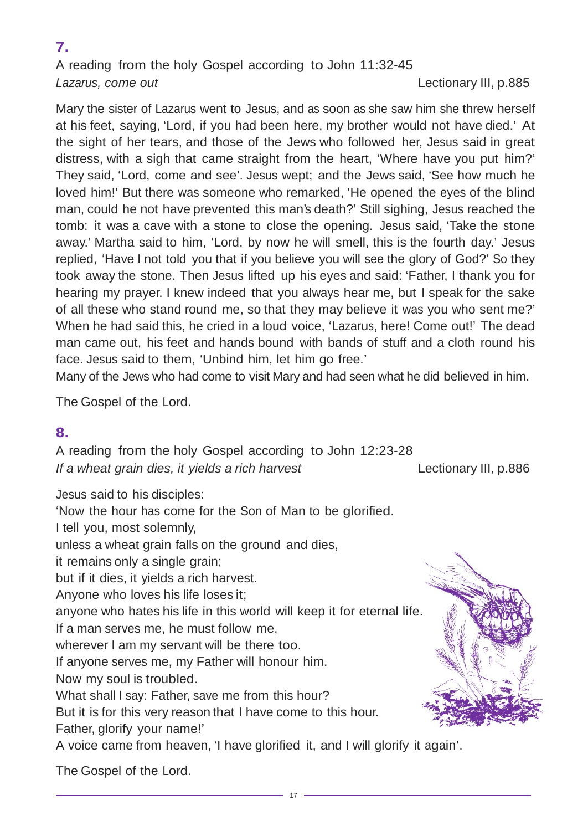**7.**

A reading from the holy Gospel according to John 11:32-45 *Lazarus, come out* Lectionary III, p.885

Mary the sister of Lazarus went to Jesus, and as soon as she saw him she threw herself at his feet, saying, 'Lord, if you had been here, my brother would not have died.' At the sight of her tears, and those of the Jews who followed her, Jesus said in great distress, with a sigh that came straight from the heart, 'Where have you put him?' They said, 'Lord, come and see'. Jesus wept; and the Jews said, 'See how much he loved him!' But there was someone who remarked, 'He opened the eyes of the blind man, could he not have prevented this man's death?' Still sighing, Jesus reached the tomb: it was a cave with a stone to close the opening. Jesus said, 'Take the stone away.' Martha said to him, 'Lord, by now he will smell, this is the fourth day.' Jesus replied, 'Have I not told you that if you believe you will see the glory of God?' So they took away the stone. Then Jesus lifted up his eyes and said: 'Father, I thank you for hearing my prayer. I knew indeed that you always hear me, but I speak for the sake of all these who stand round me, so that they may believe it was you who sent me?' When he had said this, he cried in a loud voice, 'Lazarus, here! Come out!' The dead man came out, his feet and hands bound with bands of stuff and a cloth round his face. Jesus said to them, 'Unbind him, let him go free.'

Many of the Jews who had come to visit Mary and had seen what he did believed in him.

The Gospel of the Lord.

# **8.**

A reading from the holy Gospel according to John 12:23-28 *If a wheat grain dies, it yields a rich harvest* Lectionary III, p.886

Jesus said to his disciples: 'Now the hour has come for the Son of Man to be glorified. I tell you, most solemnly, unless a wheat grain falls on the ground and dies, it remains only a single grain; but if it dies, it yields a rich harvest. Anyone who loves his life loses it; anyone who hates his life in this world will keep it for eternal life. If a man serves me, he must follow me, wherever I am my servant will be there too. If anyone serves me, my Father will honour him. Now my soul is troubled. What shall I say: Father, save me from this hour? But it is for this very reason that I have come to this hour. Father, glorify your name!' A voice came from heaven, 'I have glorified it, and I will glorify it again'.

The Gospel of the Lord.

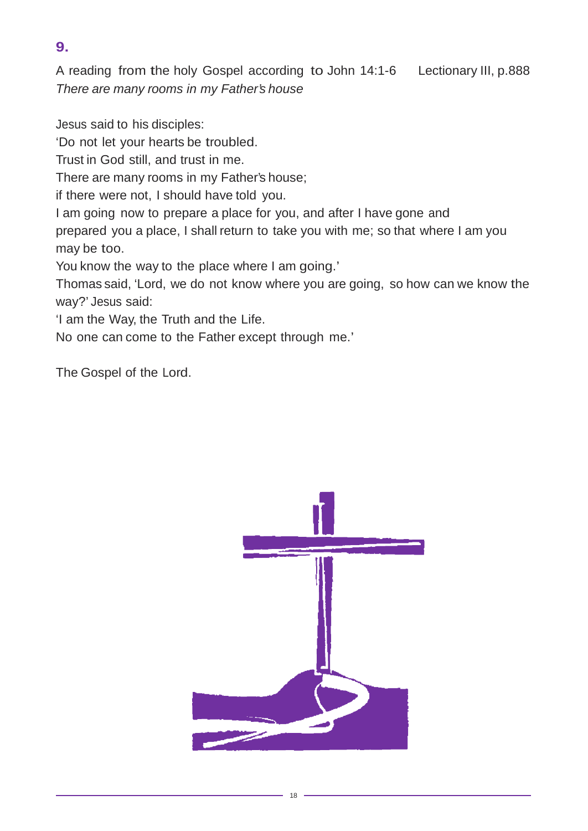# **9.**

A reading from the holy Gospel according to John 14:1-6 Lectionary III, p.888 *There are many rooms in my Father's house*

Jesus said to his disciples:

'Do not let your hearts be troubled.

Trust in God still, and trust in me.

There are many rooms in my Father's house;

if there were not, I should have told you.

I am going now to prepare a place for you, and after I have gone and

prepared you a place, I shall return to take you with me; so that where I am you may be too.

You know the way to the place where I am going.'

Thomas said, 'Lord, we do not know where you are going, so how can we know the way?' Jesus said:

'I am the Way, the Truth and the Life.

No one can come to the Father except through me.'

The Gospel of the Lord.

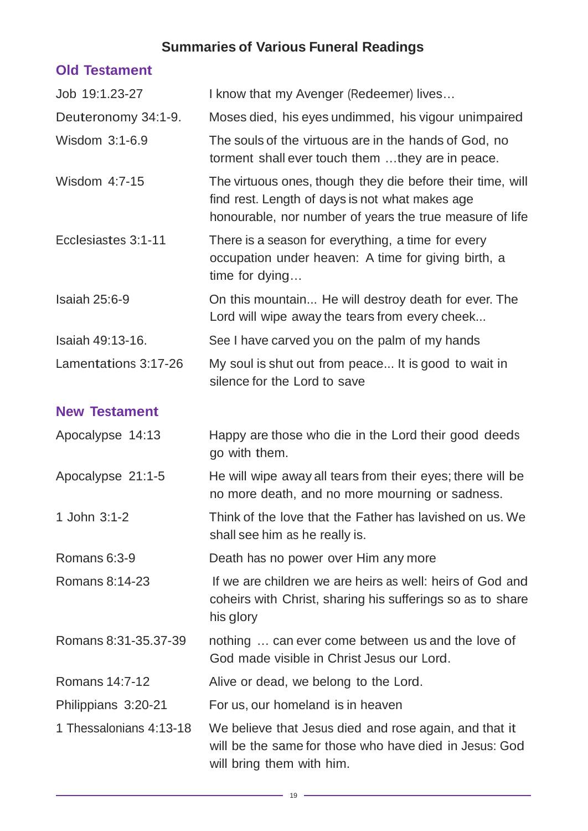# **Summaries of Various Funeral Readings**

# **Old Testament**

| Job 19:1.23-27          | I know that my Avenger (Redeemer) lives                                                                                                                                   |
|-------------------------|---------------------------------------------------------------------------------------------------------------------------------------------------------------------------|
| Deuteronomy 34:1-9.     | Moses died, his eyes undimmed, his vigour unimpaired                                                                                                                      |
| Wisdom 3:1-6.9          | The souls of the virtuous are in the hands of God, no<br>torment shall ever touch them they are in peace.                                                                 |
| Wisdom 4:7-15           | The virtuous ones, though they die before their time, will<br>find rest. Length of days is not what makes age<br>honourable, nor number of years the true measure of life |
| Ecclesiastes 3:1-11     | There is a season for everything, a time for every<br>occupation under heaven: A time for giving birth, a<br>time for dying                                               |
| <b>Isaiah 25:6-9</b>    | On this mountain He will destroy death for ever. The<br>Lord will wipe away the tears from every cheek                                                                    |
| Isaiah 49:13-16.        | See I have carved you on the palm of my hands                                                                                                                             |
| Lamentations 3:17-26    | My soul is shut out from peace It is good to wait in<br>silence for the Lord to save                                                                                      |
| <b>New Testament</b>    |                                                                                                                                                                           |
| Apocalypse 14:13        | Happy are those who die in the Lord their good deeds<br>go with them.                                                                                                     |
| Apocalypse 21:1-5       | He will wipe away all tears from their eyes; there will be<br>no more death, and no more mourning or sadness.                                                             |
| 1 John 3:1-2            | Think of the love that the Father has lavished on us. We<br>shall see him as he really is.                                                                                |
| Romans 6:3-9            | Death has no power over Him any more                                                                                                                                      |
| Romans 8:14-23          | If we are children we are heirs as well: heirs of God and<br>coheirs with Christ, sharing his sufferings so as to share<br>his glory                                      |
| Romans 8:31-35.37-39    | nothing  can ever come between us and the love of<br>God made visible in Christ Jesus our Lord.                                                                           |
| Romans 14:7-12          | Alive or dead, we belong to the Lord.                                                                                                                                     |
| Philippians 3:20-21     | For us, our homeland is in heaven                                                                                                                                         |
| 1 Thessalonians 4:13-18 | We believe that Jesus died and rose again, and that it<br>will be the same for those who have died in Jesus: God<br>will bring them with him.                             |